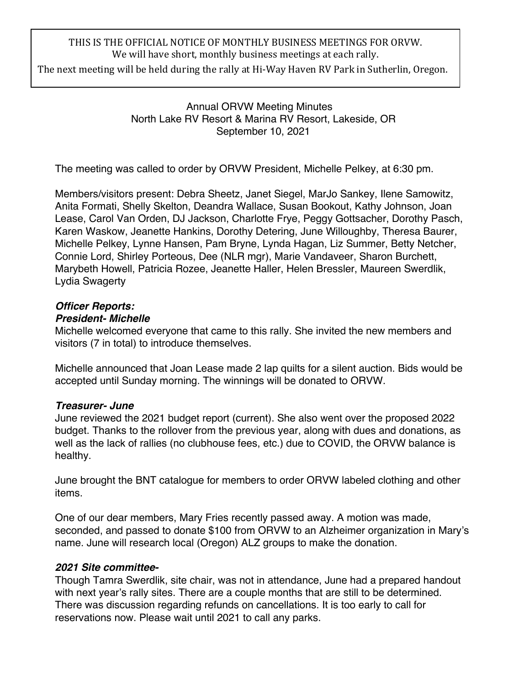# THIS IS THE OFFICIAL NOTICE OF MONTHLY BUSINESS MEETINGS FOR ORVW. We will have short, monthly business meetings at each rally.

The next meeting will be held during the rally at Hi-Way Haven RV Park in Sutherlin, Oregon.

Annual ORVW Meeting Minutes North Lake RV Resort & Marina RV Resort, Lakeside, OR September 10, 2021

The meeting was called to order by ORVW President, Michelle Pelkey, at 6:30 pm.

Members/visitors present: Debra Sheetz, Janet Siegel, MarJo Sankey, Ilene Samowitz, Anita Formati, Shelly Skelton, Deandra Wallace, Susan Bookout, Kathy Johnson, Joan Lease, Carol Van Orden, DJ Jackson, Charlotte Frye, Peggy Gottsacher, Dorothy Pasch, Karen Waskow, Jeanette Hankins, Dorothy Detering, June Willoughby, Theresa Baurer, Michelle Pelkey, Lynne Hansen, Pam Bryne, Lynda Hagan, Liz Summer, Betty Netcher, Connie Lord, Shirley Porteous, Dee (NLR mgr), Marie Vandaveer, Sharon Burchett, Marybeth Howell, Patricia Rozee, Jeanette Haller, Helen Bressler, Maureen Swerdlik, Lydia Swagerty

## *Officer Reports:*

#### *President- Michelle*

Michelle welcomed everyone that came to this rally. She invited the new members and visitors (7 in total) to introduce themselves.

Michelle announced that Joan Lease made 2 lap quilts for a silent auction. Bids would be accepted until Sunday morning. The winnings will be donated to ORVW.

## *Treasurer- June*

June reviewed the 2021 budget report (current). She also went over the proposed 2022 budget. Thanks to the rollover from the previous year, along with dues and donations, as well as the lack of rallies (no clubhouse fees, etc.) due to COVID, the ORVW balance is healthy.

June brought the BNT catalogue for members to order ORVW labeled clothing and other items.

One of our dear members, Mary Fries recently passed away. A motion was made, seconded, and passed to donate \$100 from ORVW to an Alzheimer organization in Mary's name. June will research local (Oregon) ALZ groups to make the donation.

## *2021 Site committee-*

Though Tamra Swerdlik, site chair, was not in attendance, June had a prepared handout with next year's rally sites. There are a couple months that are still to be determined. There was discussion regarding refunds on cancellations. It is too early to call for reservations now. Please wait until 2021 to call any parks.